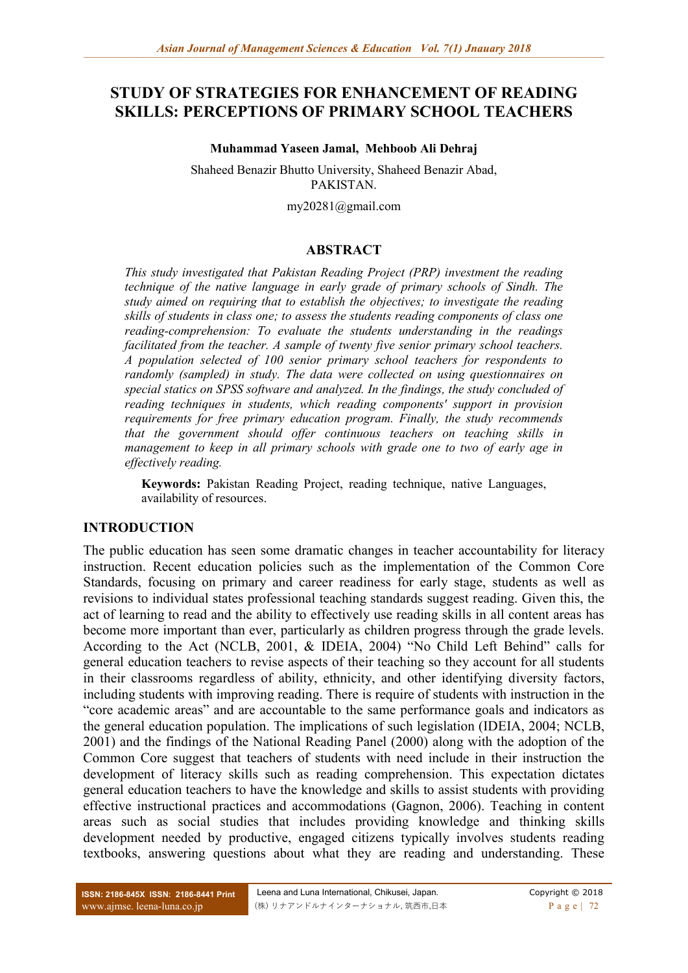# **STUDY OF STRATEGIES FOR ENHANCEMENT OF READING SKILLS: PERCEPTIONS OF PRIMARY SCHOOL TEACHERS**

#### **Muhammad Yaseen Jamal, Mehboob Ali Dehraj**

Shaheed Benazir Bhutto University, Shaheed Benazir Abad, PAKISTAN.

my20281@gmail.com

### **ABSTRACT**

*This study investigated that Pakistan Reading Project (PRP) investment the reading technique of the native language in early grade of primary schools of Sindh. The study aimed on requiring that to establish the objectives; to investigate the reading skills of students in class one; to assess the students reading components of class one reading-comprehension: To evaluate the students understanding in the readings facilitated from the teacher. A sample of twenty five senior primary school teachers. A population selected of 100 senior primary school teachers for respondents to randomly (sampled) in study. The data were collected on using questionnaires on special statics on SPSS software and analyzed. In the findings, the study concluded of reading techniques in students, which reading components' support in provision requirements for free primary education program. Finally, the study recommends that the government should offer continuous teachers on teaching skills in management to keep in all primary schools with grade one to two of early age in effectively reading.*

**Keywords:** Pakistan Reading Project, reading technique, native Languages, availability of resources.

### **INTRODUCTION**

The public education has seen some dramatic changes in teacher accountability for literacy instruction. Recent education policies such as the implementation of the Common Core Standards, focusing on primary and career readiness for early stage, students as well as revisions to individual states professional teaching standards suggest reading. Given this, the act of learning to read and the ability to effectively use reading skills in all content areas has become more important than ever, particularly as children progress through the grade levels. According to the Act (NCLB, 2001, & IDEIA, 2004) "No Child Left Behind" calls for general education teachers to revise aspects of their teaching so they account for all students in their classrooms regardless of ability, ethnicity, and other identifying diversity factors, including students with improving reading. There is require of students with instruction in the "core academic areas" and are accountable to the same performance goals and indicators as the general education population. The implications of such legislation (IDEIA, 2004; NCLB, 2001) and the findings of the National Reading Panel (2000) along with the adoption of the Common Core suggest that teachers of students with need include in their instruction the development of literacy skills such as reading comprehension. This expectation dictates general education teachers to have the knowledge and skills to assist students with providing effective instructional practices and accommodations (Gagnon, 2006). Teaching in content areas such as social studies that includes providing knowledge and thinking skills development needed by productive, engaged citizens typically involves students reading textbooks, answering questions about what they are reading and understanding. These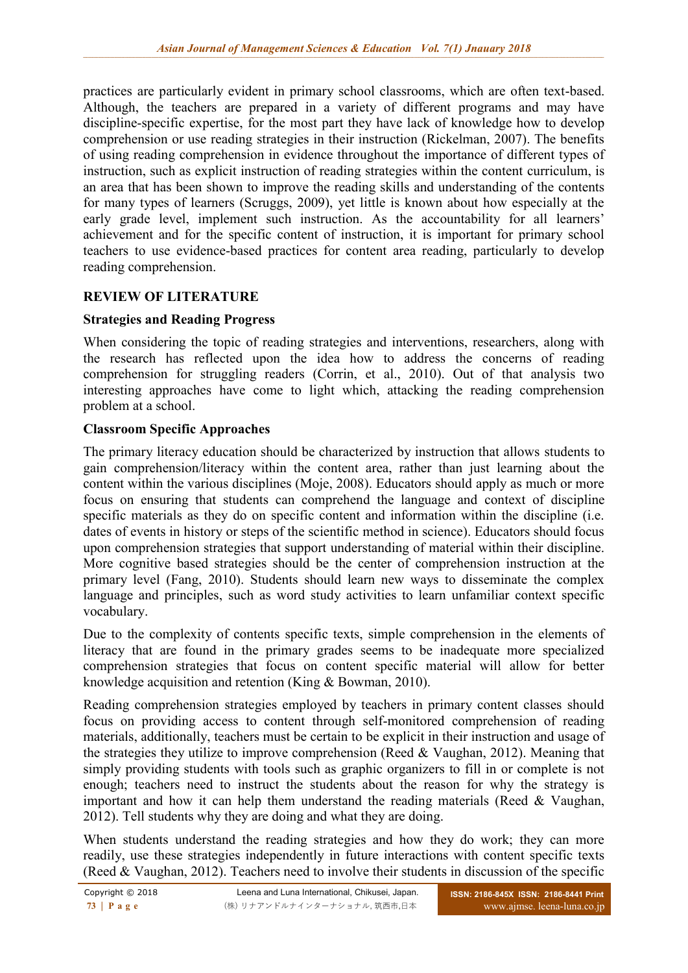practices are particularly evident in primary school classrooms, which are often text-based. Although, the teachers are prepared in a variety of different programs and may have discipline-specific expertise, for the most part they have lack of knowledge how to develop comprehension or use reading strategies in their instruction (Rickelman, 2007). The benefits of using reading comprehension in evidence throughout the importance of different types of instruction, such as explicit instruction of reading strategies within the content curriculum, is an area that has been shown to improve the reading skills and understanding of the contents for many types of learners (Scruggs, 2009), yet little is known about how especially at the early grade level, implement such instruction. As the accountability for all learners' achievement and for the specific content of instruction, it is important for primary school teachers to use evidence-based practices for content area reading, particularly to develop reading comprehension.

# **REVIEW OF LITERATURE**

# **Strategies and Reading Progress**

When considering the topic of reading strategies and interventions, researchers, along with the research has reflected upon the idea how to address the concerns of reading comprehension for struggling readers (Corrin, et al., 2010). Out of that analysis two interesting approaches have come to light which, attacking the reading comprehension problem at a school.

# **Classroom Specific Approaches**

The primary literacy education should be characterized by instruction that allows students to gain comprehension/literacy within the content area, rather than just learning about the content within the various disciplines (Moje, 2008). Educators should apply as much or more focus on ensuring that students can comprehend the language and context of discipline specific materials as they do on specific content and information within the discipline (i.e. dates of events in history or steps of the scientific method in science). Educators should focus upon comprehension strategies that support understanding of material within their discipline. More cognitive based strategies should be the center of comprehension instruction at the primary level (Fang, 2010). Students should learn new ways to disseminate the complex language and principles, such as word study activities to learn unfamiliar context specific vocabulary.

Due to the complexity of contents specific texts, simple comprehension in the elements of literacy that are found in the primary grades seems to be inadequate more specialized comprehension strategies that focus on content specific material will allow for better knowledge acquisition and retention (King & Bowman, 2010).

Reading comprehension strategies employed by teachers in primary content classes should focus on providing access to content through self-monitored comprehension of reading materials, additionally, teachers must be certain to be explicit in their instruction and usage of the strategies they utilize to improve comprehension (Reed & Vaughan, 2012). Meaning that simply providing students with tools such as graphic organizers to fill in or complete is not enough; teachers need to instruct the students about the reason for why the strategy is important and how it can help them understand the reading materials (Reed  $& V$ aughan, 2012). Tell students why they are doing and what they are doing.

When students understand the reading strategies and how they do work; they can more readily, use these strategies independently in future interactions with content specific texts (Reed & Vaughan, 2012). Teachers need to involve their students in discussion of the specific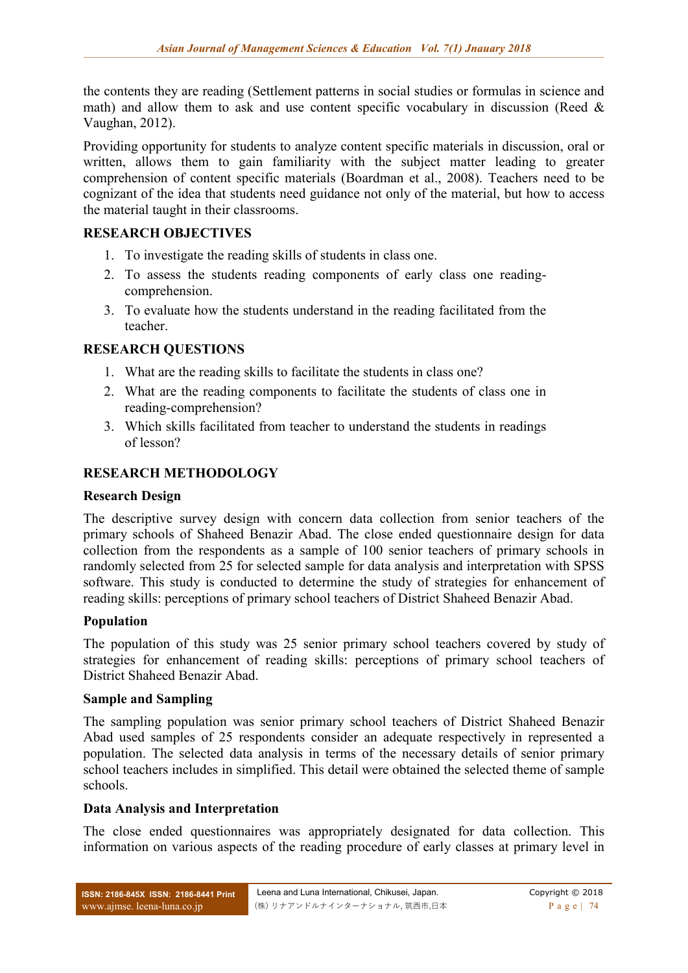the contents they are reading (Settlement patterns in social studies or formulas in science and math) and allow them to ask and use content specific vocabulary in discussion (Reed  $\&$ Vaughan, 2012).

Providing opportunity for students to analyze content specific materials in discussion, oral or written, allows them to gain familiarity with the subject matter leading to greater comprehension of content specific materials (Boardman et al., 2008). Teachers need to be cognizant of the idea that students need guidance not only of the material, but how to access the material taught in their classrooms.

# **RESEARCH OBJECTIVES**

- 1. To investigate the reading skills of students in class one.
- 2. To assess the students reading components of early class one readingcomprehension.
- 3. To evaluate how the students understand in the reading facilitated from the teacher.

# **RESEARCH QUESTIONS**

- 1. What are the reading skills to facilitate the students in class one?
- 2. What are the reading components to facilitate the students of class one in reading-comprehension?
- 3. Which skills facilitated from teacher to understand the students in readings of lesson?

# **RESEARCH METHODOLOGY**

### **Research Design**

The descriptive survey design with concern data collection from senior teachers of the primary schools of Shaheed Benazir Abad. The close ended questionnaire design for data collection from the respondents as a sample of 100 senior teachers of primary schools in randomly selected from 25 for selected sample for data analysis and interpretation with SPSS software. This study is conducted to determine the study of strategies for enhancement of reading skills: perceptions of primary school teachers of District Shaheed Benazir Abad.

### **Population**

The population of this study was 25 senior primary school teachers covered by study of strategies for enhancement of reading skills: perceptions of primary school teachers of District Shaheed Benazir Abad.

### **Sample and Sampling**

The sampling population was senior primary school teachers of District Shaheed Benazir Abad used samples of 25 respondents consider an adequate respectively in represented a population. The selected data analysis in terms of the necessary details of senior primary school teachers includes in simplified. This detail were obtained the selected theme of sample schools.

### **Data Analysis and Interpretation**

The close ended questionnaires was appropriately designated for data collection. This information on various aspects of the reading procedure of early classes at primary level in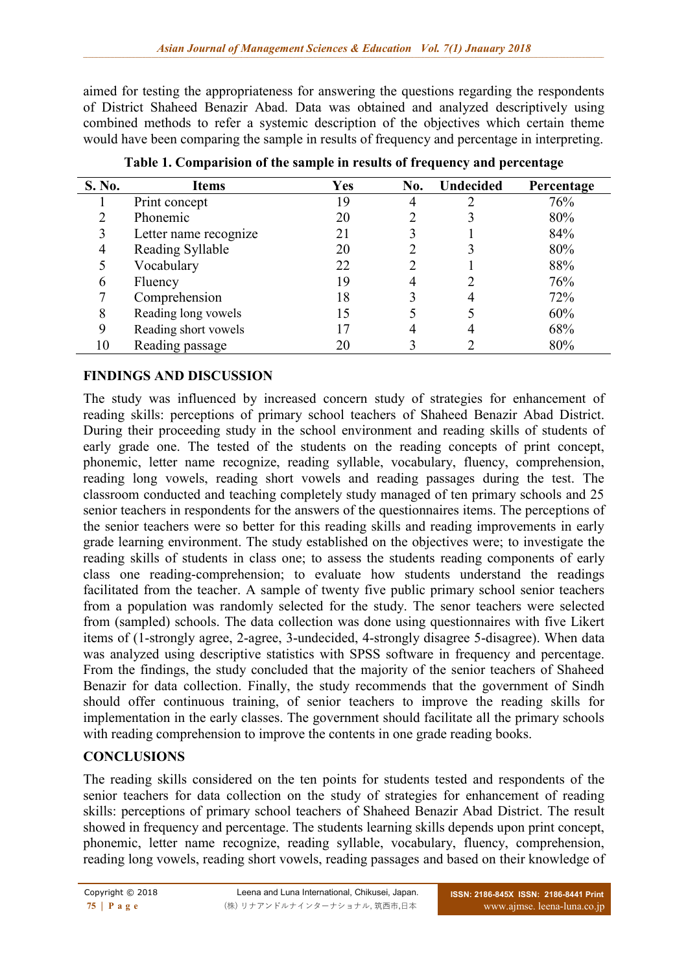aimed for testing the appropriateness for answering the questions regarding the respondents of District Shaheed Benazir Abad. Data was obtained and analyzed descriptively using combined methods to refer a systemic description of the objectives which certain theme would have been comparing the sample in results of frequency and percentage in interpreting.

| S. No. | Items                 | <b>Yes</b> | No. | <b>Undecided</b> | Percentage |
|--------|-----------------------|------------|-----|------------------|------------|
|        | Print concept         | .9         |     |                  | 76%        |
|        | Phonemic              | 20         |     |                  | 80%        |
|        | Letter name recognize | 21         |     |                  | 84%        |
|        | Reading Syllable      | 20         |     |                  | 80%        |
|        | Vocabulary            | 22         |     |                  | 88%        |
| 6      | Fluency               | 19         |     |                  | 76%        |
|        | Comprehension         | 18         |     |                  | 72%        |
| 8      | Reading long vowels   |            |     |                  | 60%        |
| 9      | Reading short vowels  |            | 4   |                  | 68%        |
| 10     | Reading passage       |            |     |                  | 80%        |

**Table 1. Comparision of the sample in results of frequency and percentage**

# **FINDINGS AND DISCUSSION**

The study was influenced by increased concern study of strategies for enhancement of reading skills: perceptions of primary school teachers of Shaheed Benazir Abad District. During their proceeding study in the school environment and reading skills of students of early grade one. The tested of the students on the reading concepts of print concept, phonemic, letter name recognize, reading syllable, vocabulary, fluency, comprehension, reading long vowels, reading short vowels and reading passages during the test. The classroom conducted and teaching completely study managed of ten primary schools and 25 senior teachers in respondents for the answers of the questionnaires items. The perceptions of the senior teachers were so better for this reading skills and reading improvements in early grade learning environment. The study established on the objectives were; to investigate the reading skills of students in class one; to assess the students reading components of early class one reading-comprehension; to evaluate how students understand the readings facilitated from the teacher. A sample of twenty five public primary school senior teachers from a population was randomly selected for the study. The senor teachers were selected from (sampled) schools. The data collection was done using questionnaires with five Likert items of (1-strongly agree, 2-agree, 3-undecided, 4-strongly disagree 5-disagree). When data was analyzed using descriptive statistics with SPSS software in frequency and percentage. From the findings, the study concluded that the majority of the senior teachers of Shaheed Benazir for data collection. Finally, the study recommends that the government of Sindh should offer continuous training, of senior teachers to improve the reading skills for implementation in the early classes. The government should facilitate all the primary schools with reading comprehension to improve the contents in one grade reading books.

# **CONCLUSIONS**

The reading skills considered on the ten points for students tested and respondents of the senior teachers for data collection on the study of strategies for enhancement of reading skills: perceptions of primary school teachers of Shaheed Benazir Abad District. The result showed in frequency and percentage. The students learning skills depends upon print concept, phonemic, letter name recognize, reading syllable, vocabulary, fluency, comprehension, reading long vowels, reading short vowels, reading passages and based on their knowledge of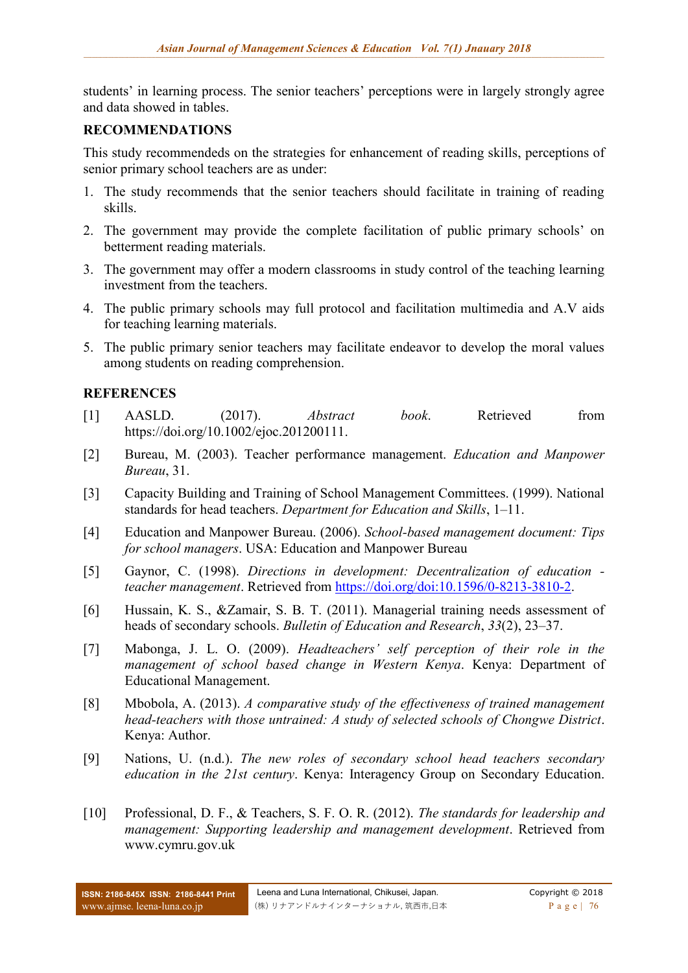students' in learning process. The senior teachers' perceptions were in largely strongly agree and data showed in tables.

### **RECOMMENDATIONS**

This study recommendeds on the strategies for enhancement of reading skills, perceptions of senior primary school teachers are as under:

- 1. The study recommends that the senior teachers should facilitate in training of reading skills.
- 2. The government may provide the complete facilitation of public primary schools' on betterment reading materials.
- 3. The government may offer a modern classrooms in study control of the teaching learning investment from the teachers.
- 4. The public primary schools may full protocol and facilitation multimedia and A.V aids for teaching learning materials.
- 5. The public primary senior teachers may facilitate endeavor to develop the moral values among students on reading comprehension.

# **REFERENCES**

- [1] AASLD. (2017). *Abstract book*. Retrieved from https://doi.org/10.1002/ejoc.201200111.
- [2] Bureau, M. (2003). Teacher performance management. *Education and Manpower Bureau*, 31.
- [3] Capacity Building and Training of School Management Committees. (1999). National standards for head teachers. *Department for Education and Skills*, 1–11.
- [4] Education and Manpower Bureau. (2006). *School-based management document: Tips for school managers*. USA: Education and Manpower Bureau
- [5] Gaynor, C. (1998). *Directions in development: Decentralization of education teacher management*. Retrieved from [https://doi.org/doi:10.1596/0-8213-3810-2.](https://doi.org/doi:10.1596/0-8213-3810-2)
- [6] Hussain, K. S., &Zamair, S. B. T. (2011). Managerial training needs assessment of heads of secondary schools. *Bulletin of Education and Research*, *33*(2), 23–37.
- [7] Mabonga, J. L. O. (2009). *Headteachers' self perception of their role in the management of school based change in Western Kenya*. Kenya: Department of Educational Management.
- [8] Mbobola, A. (2013). *A comparative study of the effectiveness of trained management head-teachers with those untrained: A study of selected schools of Chongwe District*. Kenya: Author.
- [9] Nations, U. (n.d.). *The new roles of secondary school head teachers secondary education in the 21st century*. Kenya: Interagency Group on Secondary Education.
- [10] Professional, D. F., & Teachers, S. F. O. R. (2012). *The standards for leadership and management: Supporting leadership and management development*. Retrieved from www.cymru.gov.uk